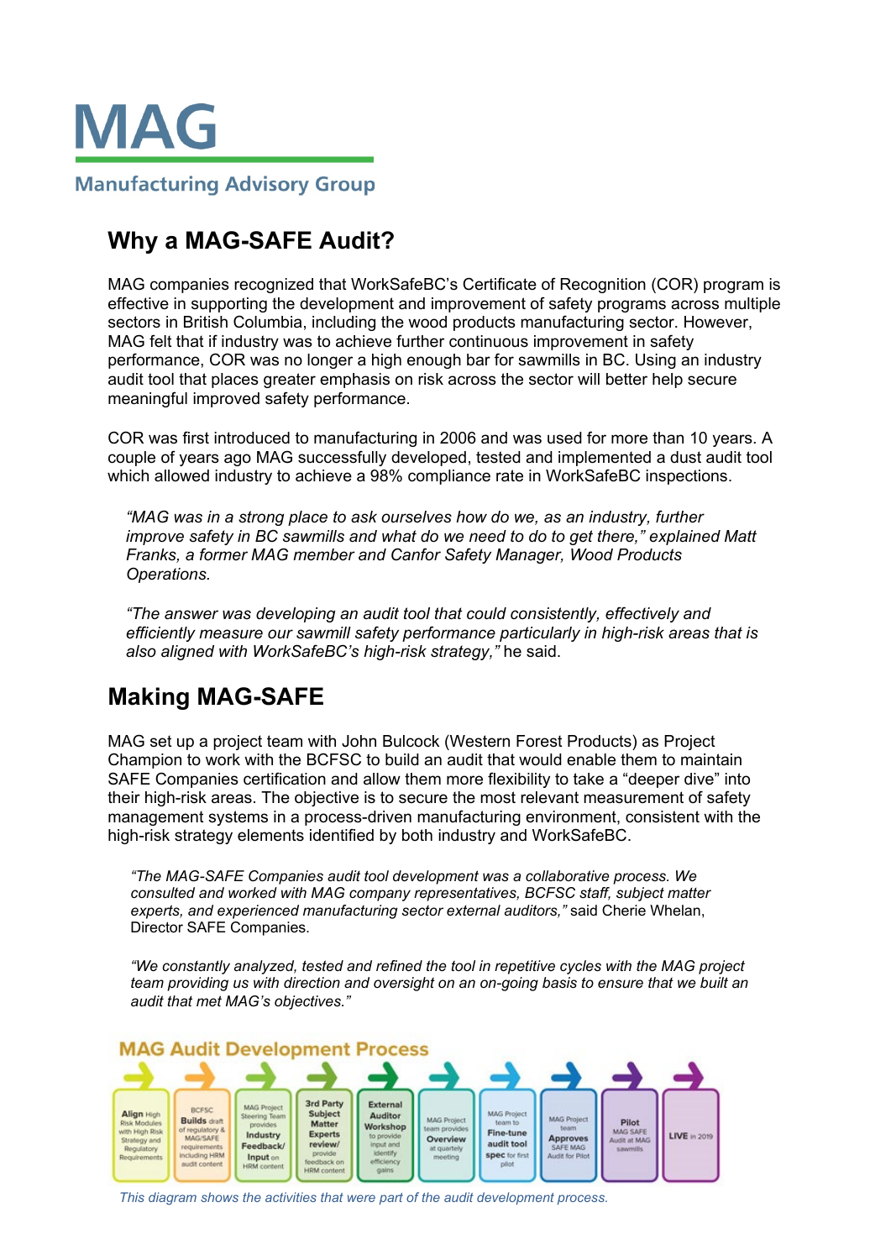

# **Why a MAG-SAFE Audit?**

MAG companies recognized that WorkSafeBC's Certificate of Recognition (COR) program is effective in supporting the development and improvement of safety programs across multiple sectors in British Columbia, including the wood products manufacturing sector. However, MAG felt that if industry was to achieve further continuous improvement in safety performance, COR was no longer a high enough bar for sawmills in BC. Using an industry audit tool that places greater emphasis on risk across the sector will better help secure meaningful improved safety performance.

COR was first introduced to manufacturing in 2006 and was used for more than 10 years. A couple of years ago MAG successfully developed, tested and implemented a dust audit tool which allowed industry to achieve a 98% compliance rate in WorkSafeBC inspections.

*"MAG was in a strong place to ask ourselves how do we, as an industry, further improve safety in BC sawmills and what do we need to do to get there," explained Matt Franks, a former MAG member and Canfor Safety Manager, Wood Products Operations.* 

*"The answer was developing an audit tool that could consistently, effectively and efficiently measure our sawmill safety performance particularly in high-risk areas that is also aligned with WorkSafeBC's high-risk strategy,"* he said.

# **Making MAG-SAFE**

MAG set up a project team with John Bulcock (Western Forest Products) as Project Champion to work with the BCFSC to build an audit that would enable them to maintain SAFE Companies certification and allow them more flexibility to take a "deeper dive" into their high-risk areas. The objective is to secure the most relevant measurement of safety management systems in a process-driven manufacturing environment, consistent with the high-risk strategy elements identified by both industry and WorkSafeBC.

*"The MAG-SAFE Companies audit tool development was a collaborative process. We consulted and worked with MAG company representatives, BCFSC staff, subject matter experts, and experienced manufacturing sector external auditors,"* said Cherie Whelan, Director SAFE Companies.

*"We constantly analyzed, tested and refined the tool in repetitive cycles with the MAG project team providing us with direction and oversight on an on-going basis to ensure that we built an audit that met MAG's objectives."*



*This diagram shows the activities that were part of the audit development process.*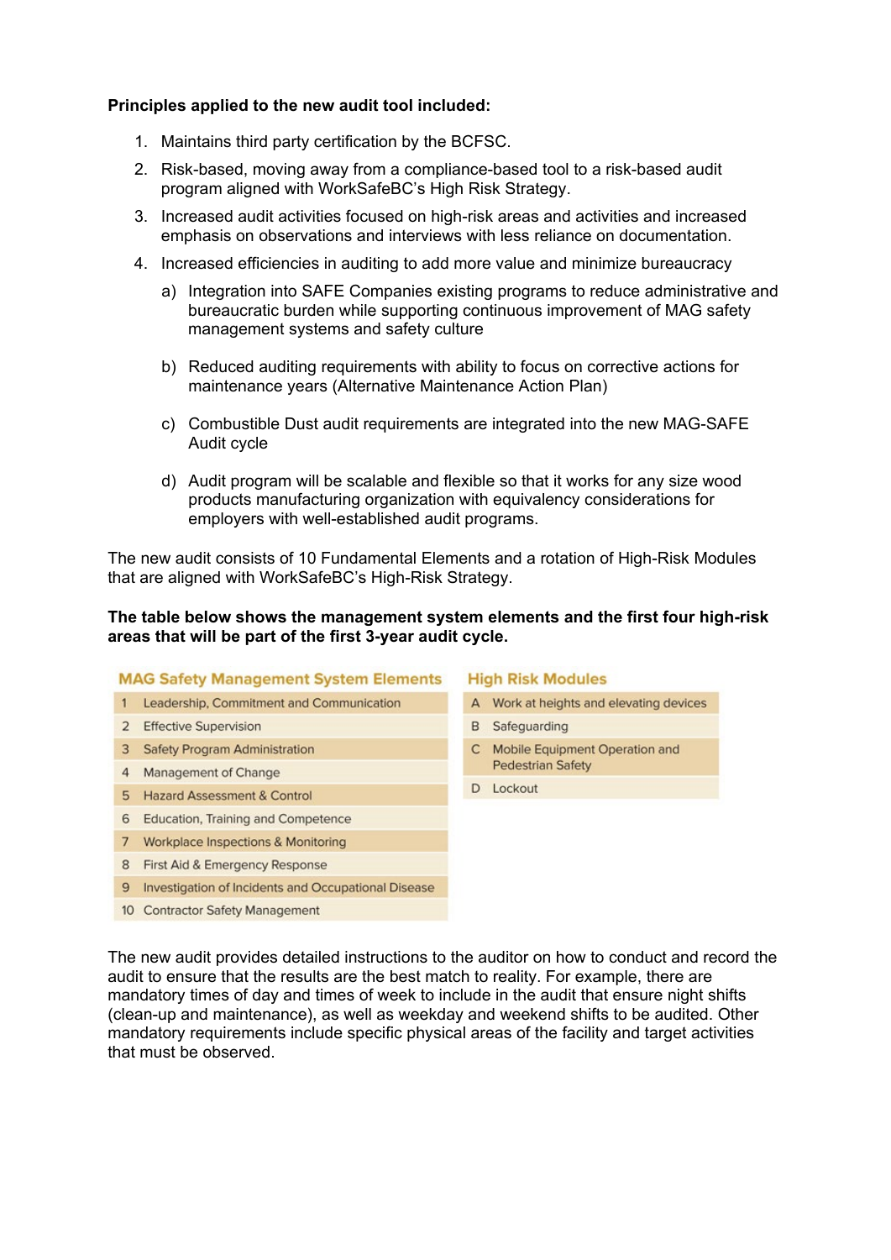## **Principles applied to the new audit tool included:**

- 1. Maintains third party certification by the BCFSC.
- 2. Risk-based, moving away from a compliance-based tool to a risk-based audit program aligned with WorkSafeBC's High Risk Strategy.
- 3. Increased audit activities focused on high-risk areas and activities and increased emphasis on observations and interviews with less reliance on documentation.
- 4. Increased efficiencies in auditing to add more value and minimize bureaucracy
	- a) Integration into SAFE Companies existing programs to reduce administrative and bureaucratic burden while supporting continuous improvement of MAG safety management systems and safety culture
	- b) Reduced auditing requirements with ability to focus on corrective actions for maintenance years (Alternative Maintenance Action Plan)
	- c) Combustible Dust audit requirements are integrated into the new MAG-SAFE Audit cycle
	- d) Audit program will be scalable and flexible so that it works for any size wood products manufacturing organization with equivalency considerations for employers with well-established audit programs.

The new audit consists of 10 Fundamental Elements and a rotation of High-Risk Modules that are aligned with WorkSafeBC's High-Risk Strategy.

## **The table below shows the management system elements and the first four high-risk areas that will be part of the first 3-year audit cycle.**

### **MAG Safety Management System Elements**

- 1 Leadership, Commitment and Communication
- 2 Effective Supervision
- 3 Safety Program Administration
- 4 Management of Change
- 5 Hazard Assessment & Control
- 6 Education, Training and Competence
- 7 Workplace Inspections & Monitoring
- 8 First Aid & Emergency Response

### 9 Investigation of Incidents and Occupational Disease

10 Contractor Safety Management

### **High Risk Modules**

- A Work at heights and elevating devices
- **B** Safeguarding
- C Mobile Equipment Operation and **Pedestrian Safety**
- D Lockout

The new audit provides detailed instructions to the auditor on how to conduct and record the audit to ensure that the results are the best match to reality. For example, there are mandatory times of day and times of week to include in the audit that ensure night shifts (clean-up and maintenance), as well as weekday and weekend shifts to be audited. Other mandatory requirements include specific physical areas of the facility and target activities that must be observed.